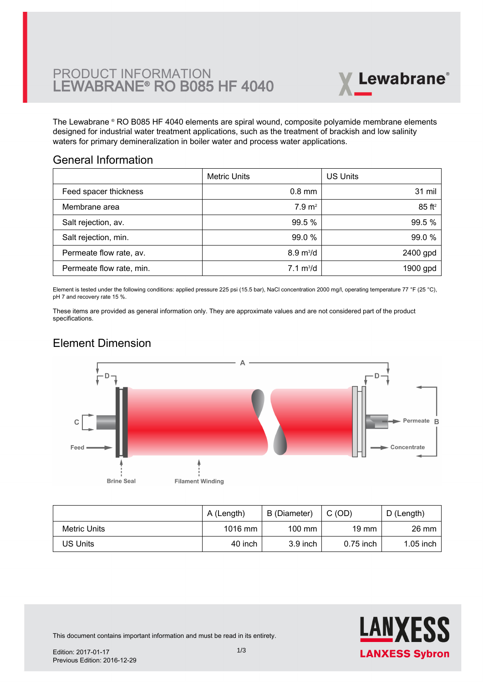

The Lewabrane ® RO B085 HF 4040 elements are spiral wound, composite polyamide membrane elements [designed for industrial water treatment applications, such as the treatment of brackish and low salinity](https://www.pureaqua.com/lanxess-lewabrane-b085-hf-4040-membrane/) waters for primary demineralization in boiler water and process water applications.

#### General Information

|                          | <b>Metric Units</b>        | <b>US Units</b>      |
|--------------------------|----------------------------|----------------------|
| Feed spacer thickness    | $0.8$ mm                   | 31 mil               |
| Membrane area            | 7.9 m <sup>2</sup>         | $85$ ft <sup>2</sup> |
| Salt rejection, av.      | 99.5 %                     | 99.5 %               |
| Salt rejection, min.     | 99.0 %                     | 99.0 %               |
| Permeate flow rate, av.  | $8.9 \text{ m}^3/\text{d}$ | 2400 gpd             |
| Permeate flow rate, min. | $7.1 \text{ m}^3/\text{d}$ | 1900 gpd             |

Element is tested under the following conditions: applied pressure 225 psi (15.5 bar), NaCl concentration 2000 mg/l, operating temperature 77 °F (25 °C), pH 7 and recovery rate 15 %.

These items are provided as general information only. They are approximate values and are not considered part of the product specifications.

# Element Dimension



|              | A (Length) | B (Diameter)     | C(OD)       | D (Length)  |
|--------------|------------|------------------|-------------|-------------|
| Metric Units | $1016$ mm  | $100 \text{ mm}$ | 19 mm       | 26 mm       |
| US Units     | 40 inch    | $3.9$ inch       | $0.75$ inch | $1.05$ inch |



This document contains important information and must be read in its entirety.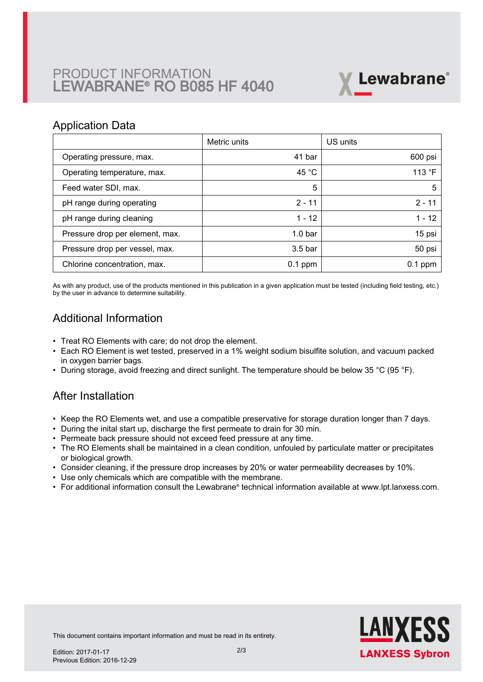# PRODUCT INFORMATION LEWABRANE® RO B085 HF 4040



#### Application Data

|                                 | Metric units       | US units  |
|---------------------------------|--------------------|-----------|
| Operating pressure, max.        | 41 bar             | 600 psi   |
| Operating temperature, max.     | 45 $^{\circ}$ C    | 113 °F    |
| Feed water SDI, max.            | 5                  | 5         |
| pH range during operating       | $2 - 11$           | $2 - 11$  |
| pH range during cleaning        | $1 - 12$           | $1 - 12$  |
| Pressure drop per element, max. | 1.0 <sub>bar</sub> | 15 psi    |
| Pressure drop per vessel, max.  | 3.5 <sub>bar</sub> | 50 psi    |
| Chlorine concentration, max.    | $0.1$ ppm          | $0.1$ ppm |

As with any product, use of the products mentioned in this publication in a given application must be tested (including field testing, etc.) by the user in advance to determine suitability.

## Additional Information

- Treat RO Elements with care; do not drop the element.
- Each RO Element is wet tested, preserved in a 1% weight sodium bisulfite solution, and vacuum packed in oxygen barrier bags.
- During storage, avoid freezing and direct sunlight. The temperature should be below 35 °C (95 °F).

### After Installation

- Keep the RO Elements wet, and use a compatible preservative for storage duration longer than 7 days.
- During the inital start up, discharge the first permeate to drain for 30 min.
- Permeate back pressure should not exceed feed pressure at any time.
- The RO Elements shall be maintained in a clean condition, unfouled by particulate matter or precipitates or biological growth.
- Consider cleaning, if the pressure drop increases by 20% or water permeability decreases by 10%.
- Use only chemicals which are compatible with the membrane.
- For additional information consult the Lewabrane® technical information available at www.lpt.lanxess.com.



This document contains important information and must be read in its entirety.